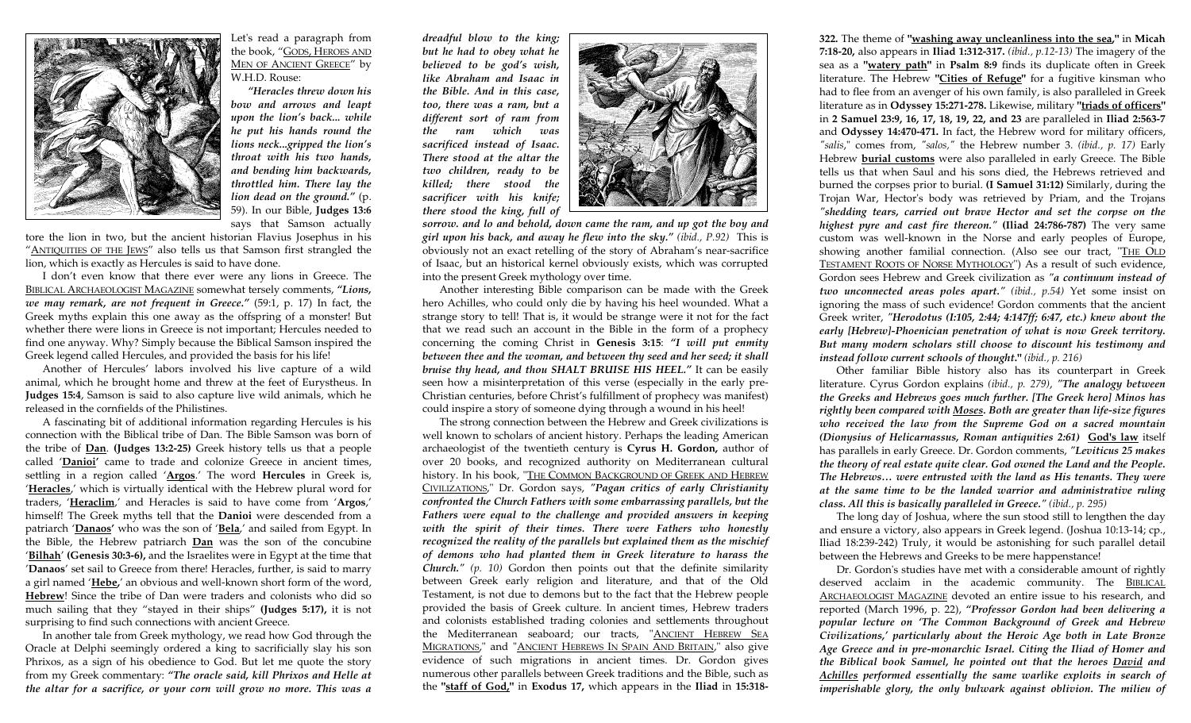

Let's read a paragraph from the book, "GODS, HEROES AND <u>Men of Ancient Greece</u>" by W.H.D. Rouse:

*"Heracles threw down his bow and arrows and leapt upon the lion's back... while he put his hands round the lions neck...gripped the lion's throat with his two hands, and bending him backwards, throttled him. There lay the lion dead on the ground."* (p. 59). In our Bible, **Judges 13:6** says that Samson actually

tore the lion in two, but the ancient historian Flavius Josephus in his "ANTIQUITIES OF THE JEWS" also tells us that Samson first strangled the lion, which is exactly as Hercules is said to have done.

 I don't even know that there ever were any lions in Greece. The BIBLICAL ARCHAEOLOGIST MAGAZINE somewhat tersely comments, *"Lions, we may remark, are not frequent in Greece."* (59:1, p. 17) In fact, the Greek myths explain this one away as the offspring of a monster! But whether there were lions in Greece is not important; Hercules needed to find one anyway. Why? Simply because the Biblical Samson inspired the Greek legend called Hercules, and provided the basis for his life!

 Another of Hercules' labors involved his live capture of a wild animal, which he brought home and threw at the feet of Eurystheus. In **Judges 15:4**, Samson is said to also capture live wild animals, which he released in the cornfields of the Philistines.

 A fascinating bit of additional information regarding Hercules is his connection with the Biblical tribe of Dan. The Bible Samson was born of the tribe of **Dan**. **(Judges 13:2-25)** Greek history tells us that a people called '**Danioi'** came to trade and colonize Greece in ancient times, settling in a region called '**Argos**.' The word **Hercules** in Greek is, '**Heracles**,' which is virtually identical with the Hebrew plural word for traders, '**Heraclim**,' and Heracles is said to have come from '**Argos**,' himself! The Greek myths tell that the **Danioi** were descended from a patriarch '**Danaos'** who was the son of '**Bela**,' and sailed from Egypt. In the Bible, the Hebrew patriarch **Dan** was the son of the concubine '**Bilhah**' **(Genesis 30:3-6),** and the Israelites were in Egypt at the time that '**Danaos**' set sail to Greece from there! Heracles, further, is said to marry a girl named '**Hebe,**' an obvious and well-known short form of the word, **Hebrew**! Since the tribe of Dan were traders and colonists who did so much sailing that they "stayed in their ships" **(Judges 5:17),** it is not surprising to find such connections with ancient Greece.

 In another tale from Greek mythology, we read how God through the Oracle at Delphi seemingly ordered a king to sacrificially slay his son Phrixos, as a sign of his obedience to God. But let me quote the story from my Greek commentary: *"The oracle said, kill Phrixos and Helle at the altar for a sacrifice, or your corn will grow no more. This was a* 

*dreadful blow to the king; but he had to obey what he believed to be god's wish, like Abraham and Isaac in the Bible. And in this case, too, there was a ram, but a different sort of ram from the ram which was sacrificed instead of Isaac. There stood at the altar the two children, ready to be killed; there stood the sacrificer with his knife; there stood the king, full of* 



*sorrow. and lo and behold, down came the ram, and up got the boy and girl upon his back, and away he flew into the sky." (ibid., P.92)* This is obviously not an exact retelling of the story of Abraham's near-sacrifice of Isaac, but an historical kernel obviously exists, which was corrupted into the present Greek mythology over time.

 Another interesting Bible comparison can be made with the Greek hero Achilles, who could only die by having his heel wounded. What a strange story to tell! That is, it would be strange were it not for the fact that we read such an account in the Bible in the form of a prophecy concerning the coming Christ in **Genesis 3:15**: *"I will put enmity between thee and the woman, and between thy seed and her seed; it shall bruise thy head, and thou SHALT BRUISE HIS HEEL."* It can be easily seen how a misinterpretation of this verse (especially in the early pre-Christian centuries, before Christ's fulfillment of prophecy was manifest) could inspire a story of someone dying through a wound in his heel!

 The strong connection between the Hebrew and Greek civilizations is well known to scholars of ancient history. Perhaps the leading American archaeologist of the twentieth century is **Cyrus H. Gordon,** author of over 20 books, and recognized authority on Mediterranean cultural history. In his book, "<u>The Common Background of Greek and Hebrew</u> CIVILIZATIONS," Dr. Gordon says, *"Pagan critics of early Christianity confronted the Church Fathers with some embarrassing parallels, but the Fathers were equal to the challenge and provided answers in keeping with the spirit of their times. There were Fathers who honestly recognized the reality of the parallels but explained them as the mischief of demons who had planted them in Greek literature to harass the Church." (p. 10)* Gordon then points out that the definite similarity between Greek early religion and literature, and that of the Old Testament, is not due to demons but to the fact that the Hebrew people provided the basis of Greek culture. In ancient times, Hebrew traders and colonists established trading colonies and settlements throughout the Mediterranean seaboard; our tracts, "<u>ANCIENT HEBREW SEA</u> <u>MIGRATIONS</u>," and "<u>ANCIENT HEBREWS IN SPAIN AND BRITAIN</u>," also give evidence of such migrations in ancient times. Dr. Gordon gives numerous other parallels between Greek traditions and the Bible, such as the **"staff of God,"** in **Exodus 17,** which appears in the **Iliad** in **15:318-** **322.** The theme of **"washing away uncleanliness into the sea,"** in **Micah 7:18-20,** also appears in **Iliad 1:312-317.** *(ibid., p.12-13)* The imagery of the sea as a **"watery path"** in **Psalm 8:9** finds its duplicate often in Greek literature. The Hebrew **"Cities of Refuge"** for a fugitive kinsman who had to flee from an avenger of his own family, is also paralleled in Greek literature as in **Odyssey 15:271-278.** Likewise, military **"triads of officers"** in **2 Samuel 23:9, 16, 17, 18, 19, 22, and 23** are paralleled in **Iliad 2:563-7** and **Odyssey 14:470-471.** In fact, the Hebrew word for military officers, *"salis*," comes from, *"salos,"* the Hebrew number 3. *(ibid., p. 17)* Early Hebrew **burial customs** were also paralleled in early Greece. The Bible tells us that when Saul and his sons died, the Hebrews retrieved and burned the corpses prior to burial. **(I Samuel 31:12)** Similarly, during the Trojan War, Hector's body was retrieved by Priam, and the Trojans *"shedding tears, carried out brave Hector and set the corpse on the highest pyre and cast fire thereon."* **(Iliad 24:786-787)** The very same custom was well-known in the Norse and early peoples of Europe, showing another familial connection. (Also see our tract, "<u>THE OLD</u> TESTAMENT ROOTS OF NORSE MYTHOLOGY") As a result of such evidence, Gordon sees Hebrew and Greek civilization as *"a continuum instead of two unconnected areas poles apart." (ibid., p.54)* Yet some insist on ignoring the mass of such evidence! Gordon comments that the ancient Greek writer, *"Herodotus (I:105, 2:44; 4:147ff; 6:47, etc.) knew about the early [Hebrew]-Phoenician penetration of what is now Greek territory. But many modern scholars still choose to discount his testimony and instead follow current schools of thought***."** *(ibid., p. 216)*

 Other familiar Bible history also has its counterpart in Greek literature. Cyrus Gordon explains *(ibid., p. 279)*, *"The analogy between the Greeks and Hebrews goes much further. [The Greek hero] Minos has rightly been compared with Moses. Both are greater than life-size figures who received the law from the Supreme God on a sacred mountain (Dionysius of Helicarnassus, Roman antiquities 2:61)* **God's law** itself has parallels in early Greece. Dr. Gordon comments, *"Leviticus 25 makes the theory of real estate quite clear. God owned the Land and the People. The Hebrews… were entrusted with the land as His tenants. They were at the same time to be the landed warrior and administrative ruling class. All this is basically paralleled in Greece." (ibid., p. 295)* 

 The long day of Joshua, where the sun stood still to lengthen the day and ensure a victory, also appears in Greek legend. (Joshua 10:13-14; cp., Iliad 18:239-242) Truly, it would be astonishing for such parallel detail between the Hebrews and Greeks to be mere happenstance!

 Dr. Gordon's studies have met with a considerable amount of rightly deserved acclaim in the academic community. The BIBLICAL ARCHAEOLOGIST MAGAZINE devoted an entire issue to his research, and reported (March 1996, p. 22), *"Professor Gordon had been delivering a popular lecture on 'The Common Background of Greek and Hebrew Civilizations,' particularly about the Heroic Age both in Late Bronze Age Greece and in pre-monarchic Israel. Citing the Iliad of Homer and the Biblical book Samuel, he pointed out that the heroes David and Achilles performed essentially the same warlike exploits in search of imperishable glory, the only bulwark against oblivion. The milieu of*